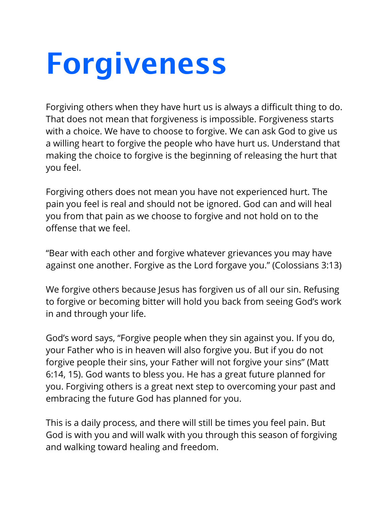## **Forgiveness**

Forgiving others when they have hurt us is always a difficult thing to do. That does not mean that forgiveness is impossible. Forgiveness starts with a choice. We have to choose to forgive. We can ask God to give us a willing heart to forgive the people who have hurt us. Understand that making the choice to forgive is the beginning of releasing the hurt that you feel.

Forgiving others does not mean you have not experienced hurt. The pain you feel is real and should not be ignored. God can and will heal you from that pain as we choose to forgive and not hold on to the offense that we feel.

"Bear with each other and forgive whatever grievances you may have against one another. Forgive as the Lord forgave you." (Colossians 3:13)

We forgive others because Jesus has forgiven us of all our sin. Refusing to forgive or becoming bitter will hold you back from seeing God's work in and through your life.

God's word says, "Forgive people when they sin against you. If you do, your Father who is in heaven will also forgive you. But if you do not forgive people their sins, your Father will not forgive your sins" (Matt 6:14, 15). God wants to bless you. He has a great future planned for you. Forgiving others is a great next step to overcoming your past and embracing the future God has planned for you.

This is a daily process, and there will still be times you feel pain. But God is with you and will walk with you through this season of forgiving and walking toward healing and freedom.